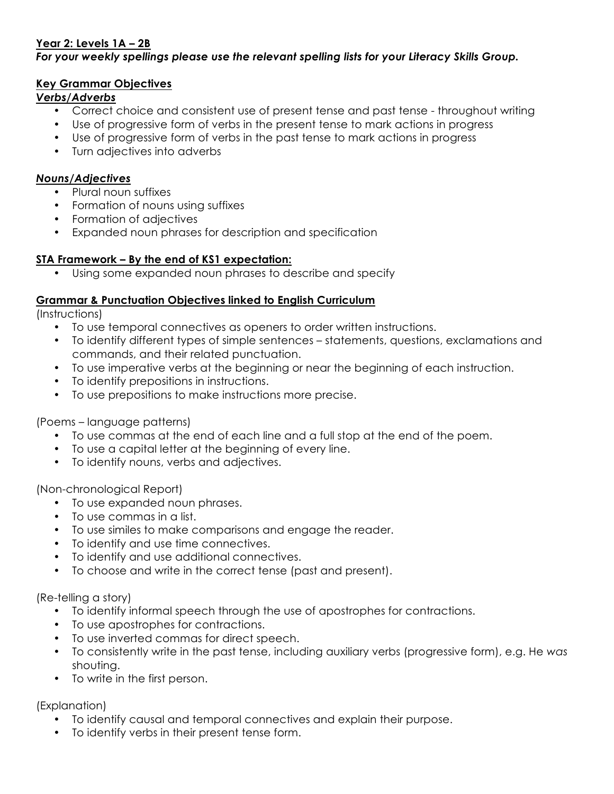# **Year 2: Levels 1A – 2B**

#### *For your weekly spellings please use the relevant spelling lists for your Literacy Skills Group.*

#### **Key Grammar Objectives**

### *Verbs/Adverbs*

- Correct choice and consistent use of present tense and past tense throughout writing
- Use of progressive form of verbs in the present tense to mark actions in progress
- Use of progressive form of verbs in the past tense to mark actions in progress
- Turn adjectives into adverbs

#### *Nouns/Adjectives*

- Plural noun suffixes
- Formation of nouns using suffixes
- Formation of adjectives
- Expanded noun phrases for description and specification

### **STA Framework – By the end of KS1 expectation:**

Using some expanded noun phrases to describe and specify

#### **Grammar & Punctuation Objectives linked to English Curriculum**

(Instructions)

- To use temporal connectives as openers to order written instructions.
- To identify different types of simple sentences statements, questions, exclamations and commands, and their related punctuation.
- To use imperative verbs at the beginning or near the beginning of each instruction.
- To identify prepositions in instructions.
- To use prepositions to make instructions more precise.

### (Poems – language patterns)

- To use commas at the end of each line and a full stop at the end of the poem.
- To use a capital letter at the beginning of every line.
- To identify nouns, verbs and adjectives.

(Non-chronological Report)

- To use expanded noun phrases.
- To use commas in a list.
- To use similes to make comparisons and engage the reader.
- To identify and use time connectives.
- To identify and use additional connectives.
- To choose and write in the correct tense (past and present).

(Re-telling a story)

- To identify informal speech through the use of apostrophes for contractions.
- To use apostrophes for contractions.
- To use inverted commas for direct speech.
- To consistently write in the past tense, including auxiliary verbs (progressive form), e.g. He *was*  shouting.
- To write in the first person.

(Explanation)

- To identify causal and temporal connectives and explain their purpose.
- To identify verbs in their present tense form.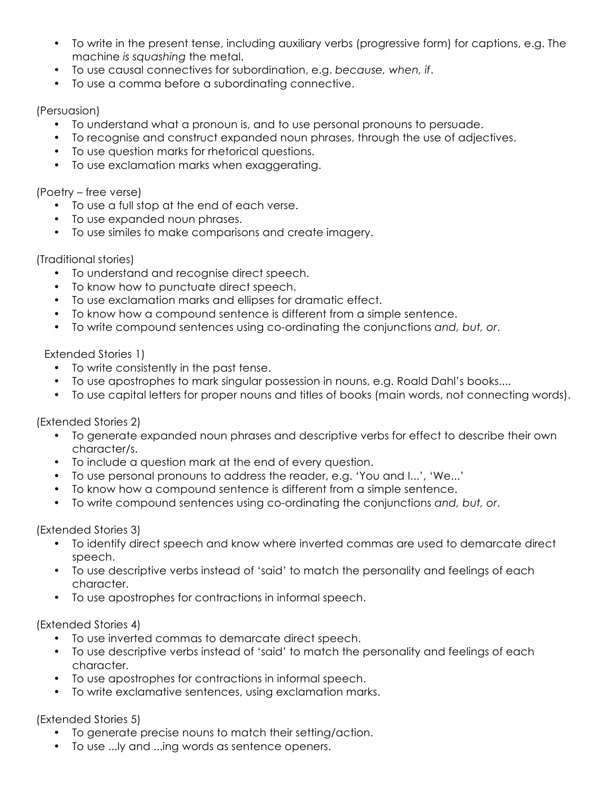- To write in the present tense, including auxiliary verbs (progressive form) for captions, e.g. The machine *is squashing* the metal.
- To use causal connectives for subordination, e.g. *because, when, if*.
- To use a comma before a subordinating connective.

## (Persuasion)

- To understand what a pronoun is, and to use personal pronouns to persuade.
- To recognise and construct expanded noun phrases, through the use of adjectives.
- To use question marks for rhetorical questions.
- To use exclamation marks when exaggerating.

## (Poetry – free verse)

- To use a full stop at the end of each verse.
- To use expanded noun phrases.
- To use similes to make comparisons and create imagery.

## (Traditional stories)

- To understand and recognise direct speech.
- To know how to punctuate direct speech.
- To use exclamation marks and ellipses for dramatic effect.
- To know how a compound sentence is different from a simple sentence.
- To write compound sentences using co-ordinating the conjunctions *and, but, or*.

## Extended Stories 1)

- To write consistently in the past tense.
- To use apostrophes to mark singular possession in nouns, e.g. Roald Dahl's books....
- To use capital letters for proper nouns and titles of books (main words, not connecting words).

# (Extended Stories 2)

- To generate expanded noun phrases and descriptive verbs for effect to describe their own character/s.
- To include a question mark at the end of every question.
- To use personal pronouns to address the reader, e.g. 'You and I...', 'We...'
- To know how a compound sentence is different from a simple sentence.
- To write compound sentences using co-ordinating the conjunctions *and, but, or*.

### (Extended Stories 3)

- To identify direct speech and know where inverted commas are used to demarcate direct speech.
- To use descriptive verbs instead of 'said' to match the personality and feelings of each character.
- To use apostrophes for contractions in informal speech.

# (Extended Stories 4)

- To use inverted commas to demarcate direct speech.
- To use descriptive verbs instead of 'said' to match the personality and feelings of each character.
- To use apostrophes for contractions in informal speech.
- To write exclamative sentences, using exclamation marks.

# (Extended Stories 5)

- To generate precise nouns to match their setting/action.
- To use ...ly and ...ing words as sentence openers.